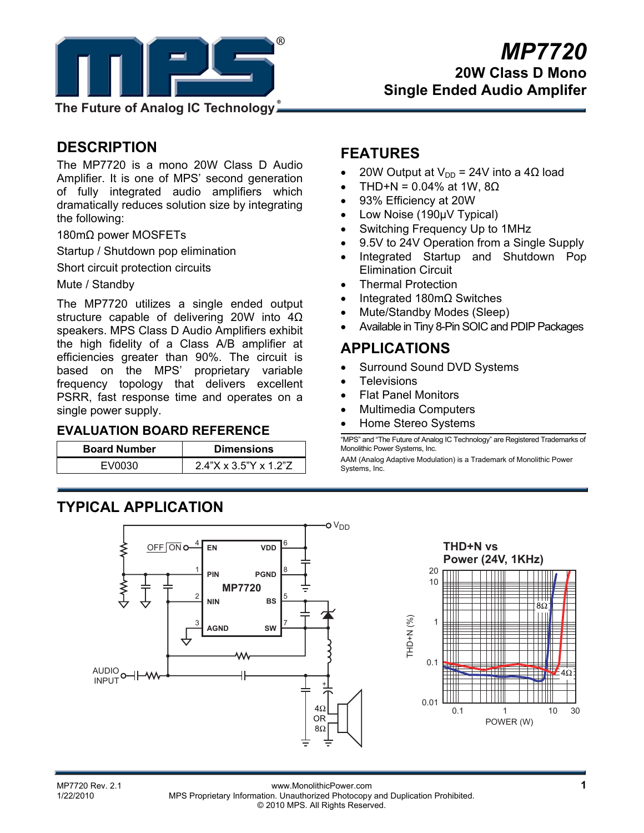

## **DESCRIPTION**

The MP7720 is a mono 20W Class D Audio Amplifier. It is one of MPS' second generation of fully integrated audio amplifiers which dramatically reduces solution size by integrating the following:

180mΩ power MOSFETs

Startup / Shutdown pop elimination

Short circuit protection circuits

Mute / Standby

The MP7720 utilizes a single ended output structure capable of delivering 20W into 4Ω speakers. MPS Class D Audio Amplifiers exhibit the high fidelity of a Class A/B amplifier at efficiencies greater than 90%. The circuit is based on the MPS' proprietary variable frequency topology that delivers excellent PSRR, fast response time and operates on a single power supply.

#### **EVALUATION BOARD REFERENCE**

| <b>Board Number</b> | <b>Dimensions</b>        |  |  |  |
|---------------------|--------------------------|--|--|--|
| EV0030              | $2.4$ "X x 3.5"Y x 1.2"Z |  |  |  |

## **FEATURES**

- 20W Output at  $V_{DD}$  = 24V into a 4Ω load
- THD+N = 0.04% at 1W,  $8Ω$
- 93% Efficiency at 20W
- Low Noise (190µV Typical)
- Switching Frequency Up to 1MHz
- 9.5V to 24V Operation from a Single Supply
- Integrated Startup and Shutdown Pop Elimination Circuit
- Thermal Protection
- Integrated 180mΩ Switches
- Mute/Standby Modes (Sleep)
- Available in Tiny 8-Pin SOIC and PDIP Packages

## **APPLICATIONS**

- Surround Sound DVD Systems
- **Televisions**
- Flat Panel Monitors
- Multimedia Computers
- Home Stereo Systems

"MPS" and "The Future of Analog IC Technology" are Registered Trademarks of Monolithic Power Systems, Inc.

AAM (Analog Adaptive Modulation) is a Trademark of Monolithic Power Systems, Inc.



 $8C$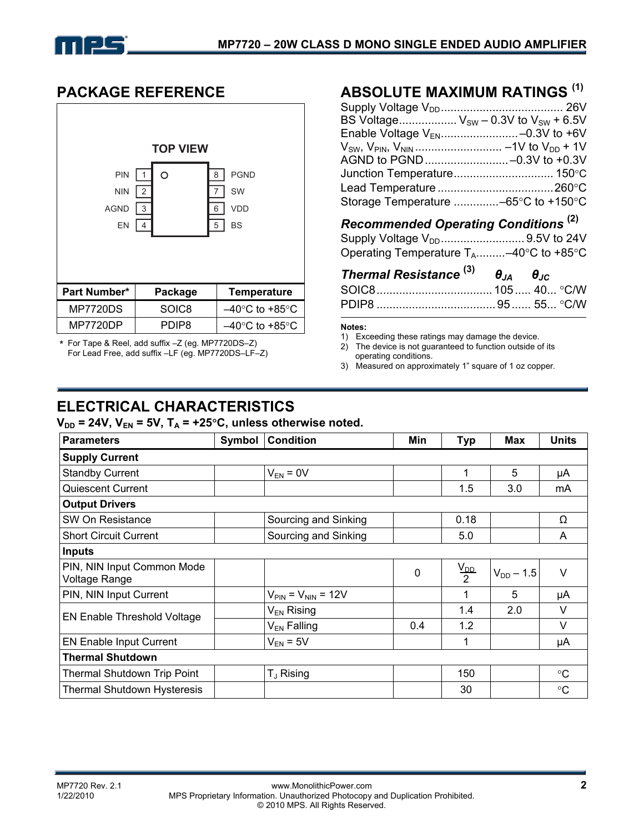

## **PACKAGE REFERENCE**



\* For Tape & Reel, add suffix –Z (eg. MP7720DS–Z) For Lead Free, add suffix –LF (eg. MP7720DS–LF–Z)

# **ABSOLUTE MAXIMUM RATINGS (1)**

| BS Voltage $V_{SW}$ – 0.3V to $V_{SW}$ + 6.5V |  |
|-----------------------------------------------|--|
| Enable Voltage V <sub>EN</sub> -0.3V to +6V   |  |
|                                               |  |
|                                               |  |
| Junction Temperature 150°C                    |  |
|                                               |  |
| Storage Temperature -65°C to +150°C           |  |

# *Recommended Operating Conditions* **(2)**

Supply Voltage VDD.......................... 9.5V to 24V Operating Temperature  $T_A$ .........–40°C to +85°C

| Thermal Resistance $^{(3)}$ $\theta_{JA}$ $\theta_{JC}$ |  |  |
|---------------------------------------------------------|--|--|
|                                                         |  |  |
|                                                         |  |  |

#### **Notes:**

1) Exceeding these ratings may damage the device.

2) The device is not guaranteed to function outside of its operating conditions.

3) Measured on approximately 1" square of 1 oz copper.

# **ELECTRICAL CHARACTERISTICS**

 $V_{DD}$  = 24V,  $V_{EN}$  = 5V,  $T_A$  = +25°C, unless otherwise noted.

| <b>Parameters</b>                           | <b>Condition</b><br>Symbol<br>Min |                                         |     | <b>Typ</b>         | <b>Max</b>     | <b>Units</b> |
|---------------------------------------------|-----------------------------------|-----------------------------------------|-----|--------------------|----------------|--------------|
| <b>Supply Current</b>                       |                                   |                                         |     |                    |                |              |
| <b>Standby Current</b>                      |                                   | $V_{EN} = 0V$                           |     | 1                  | 5              | μA           |
| <b>Quiescent Current</b>                    |                                   |                                         |     | 1.5                | 3.0            | mA           |
| <b>Output Drivers</b>                       |                                   |                                         |     |                    |                |              |
| SW On Resistance                            |                                   | Sourcing and Sinking                    |     | 0.18               |                | Ω            |
| <b>Short Circuit Current</b>                |                                   | Sourcing and Sinking                    |     | 5.0                |                | A            |
| <b>Inputs</b>                               |                                   |                                         |     |                    |                |              |
| PIN, NIN Input Common Mode<br>Voltage Range |                                   |                                         | 0   | $\frac{V_{DD}}{2}$ | $V_{DD} - 1.5$ | V            |
| PIN, NIN Input Current                      |                                   | $V_{\text{PIN}} = V_{\text{NIN}} = 12V$ |     | 1                  | 5              | μA           |
| EN Enable Threshold Voltage                 |                                   | $V_{EN}$ Rising                         |     | 1.4                | 2.0            | V            |
|                                             |                                   | $V_{EN}$ Falling                        | 0.4 | 1.2                |                | $\vee$       |
| <b>EN Enable Input Current</b>              |                                   | $V_{EN}$ = 5V                           |     | 1                  |                | μA           |
| <b>Thermal Shutdown</b>                     |                                   |                                         |     |                    |                |              |
| Thermal Shutdown Trip Point                 |                                   | $T_{J}$ Rising                          |     | 150                |                | $^{\circ}C$  |
| <b>Thermal Shutdown Hysteresis</b>          |                                   |                                         |     | 30                 |                | $^{\circ}C$  |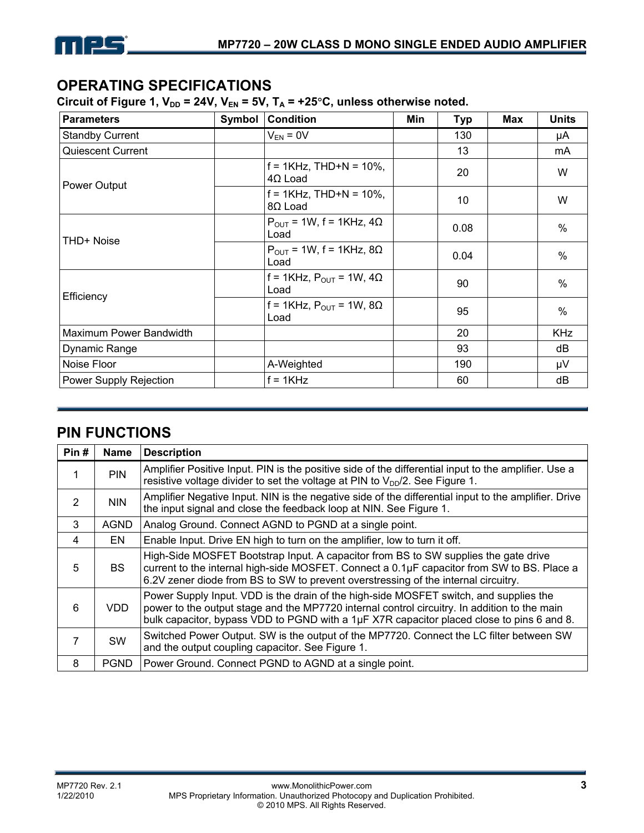

## **OPERATING SPECIFICATIONS**

Circuit of Figure 1,  $V_{DD}$  = 24V,  $V_{EN}$  = 5V,  $T_A$  = +25°C, unless otherwise noted.

| <b>Parameters</b>        | Symbol | <b>Condition</b>                             | Min | <b>Typ</b> | <b>Max</b> | <b>Units</b> |
|--------------------------|--------|----------------------------------------------|-----|------------|------------|--------------|
| <b>Standby Current</b>   |        | $V_{EN} = 0V$                                |     | 130        |            | μA           |
| <b>Quiescent Current</b> |        |                                              |     | 13         |            | mA           |
| Power Output             |        | $f = 1KHz$ , THD+N = 10%,<br>$4\Omega$ Load  |     | 20         |            | W            |
|                          |        | $f = 1KHz$ , THD+N = 10%,<br>8Ω Load         |     | 10         |            | W            |
| THD+ Noise               |        | $P_{OUT}$ = 1W, f = 1KHz, 4 $\Omega$<br>Load |     | 0.08       |            | $\%$         |
|                          |        | $P_{OUT}$ = 1W, f = 1KHz, 8 $\Omega$<br>Load |     | 0.04       |            | $\%$         |
| Efficiency               |        | f = 1KHz, $P_{OUT}$ = 1W, 4 $\Omega$<br>Load |     | 90         |            | $\%$         |
|                          |        | f = 1KHz, $P_{OUT}$ = 1W, 8 $\Omega$<br>Load |     | 95         |            | $\%$         |
| Maximum Power Bandwidth  |        |                                              |     | 20         |            | <b>KHz</b>   |
| Dynamic Range            |        |                                              |     | 93         |            | dB           |
| Noise Floor              |        | A-Weighted                                   | 190 |            |            | μV           |
| Power Supply Rejection   |        | $f = 1KHz$                                   |     | 60         |            | dB           |

## **PIN FUNCTIONS**

| Pin# | <b>Name</b> | <b>Description</b>                                                                                                                                                                                                                                                                 |
|------|-------------|------------------------------------------------------------------------------------------------------------------------------------------------------------------------------------------------------------------------------------------------------------------------------------|
| 1    | <b>PIN</b>  | Amplifier Positive Input. PIN is the positive side of the differential input to the amplifier. Use a<br>resistive voltage divider to set the voltage at PIN to $V_{DD}/2$ . See Figure 1.                                                                                          |
| 2    | <b>NIN</b>  | Amplifier Negative Input. NIN is the negative side of the differential input to the amplifier. Drive<br>the input signal and close the feedback loop at NIN. See Figure 1.                                                                                                         |
| 3    | <b>AGND</b> | Analog Ground. Connect AGND to PGND at a single point.                                                                                                                                                                                                                             |
| 4    | EN.         | Enable Input. Drive EN high to turn on the amplifier, low to turn it off.                                                                                                                                                                                                          |
| 5    | <b>BS</b>   | High-Side MOSFET Bootstrap Input. A capacitor from BS to SW supplies the gate drive<br>current to the internal high-side MOSFET. Connect a 0.1µF capacitor from SW to BS. Place a<br>6.2V zener diode from BS to SW to prevent overstressing of the internal circuitry.            |
| 6    | VDD.        | Power Supply Input. VDD is the drain of the high-side MOSFET switch, and supplies the<br>power to the output stage and the MP7720 internal control circuitry. In addition to the main<br>bulk capacitor, bypass VDD to PGND with a 1µF X7R capacitor placed close to pins 6 and 8. |
| 7    | <b>SW</b>   | Switched Power Output. SW is the output of the MP7720. Connect the LC filter between SW<br>and the output coupling capacitor. See Figure 1.                                                                                                                                        |
| 8    | <b>PGND</b> | Power Ground. Connect PGND to AGND at a single point.                                                                                                                                                                                                                              |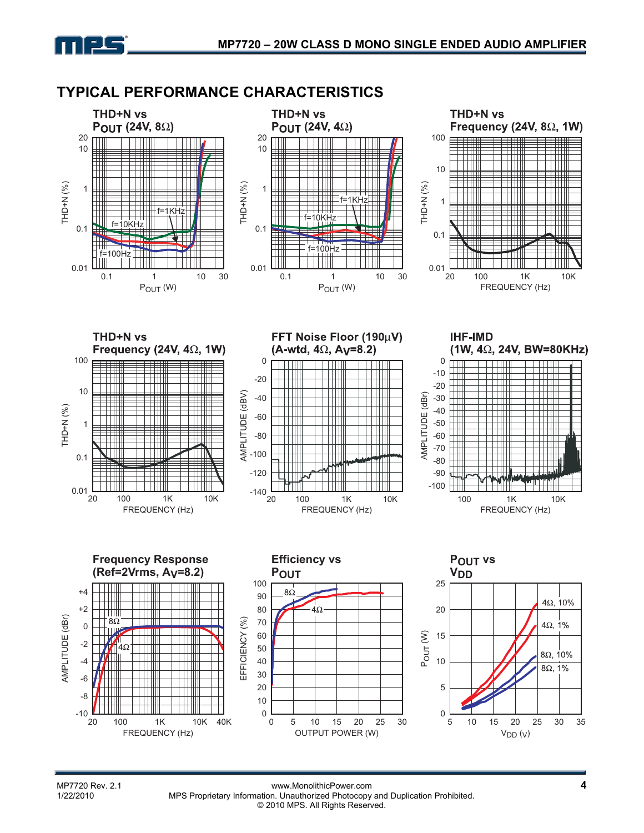## **TYPICAL PERFORMANCE CHARACTERISTICS**



MP7720 Rev. 2.1 **4**<br>1/22/2010 MPS Proprietary Information Unauthorized Photocopy and Duplication Prohibited MPS Proprietary Information. Unauthorized Photocopy and Duplication Prohibited. © 2010 MPS. All Rights Reserved.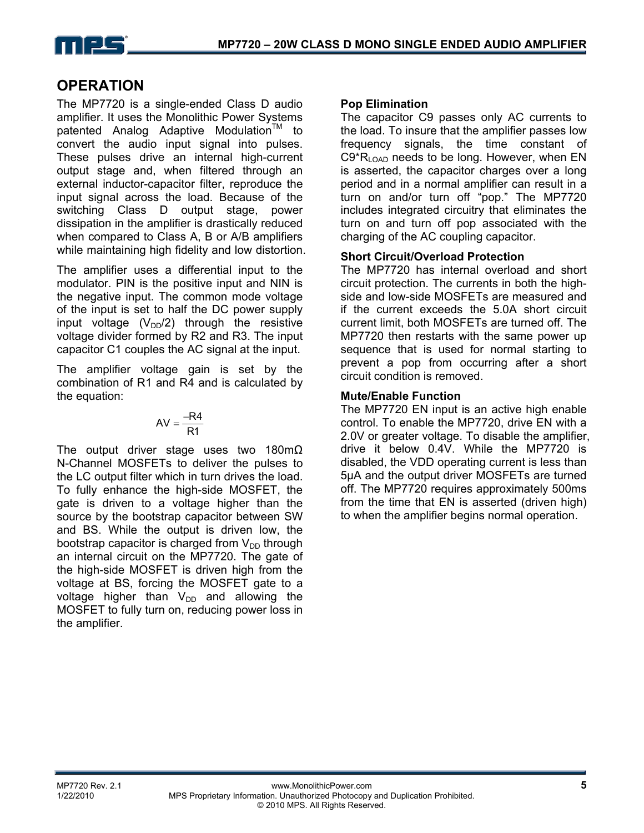

# **OPERATION**

The MP7720 is a single-ended Class D audio amplifier. It uses the Monolithic Power Systems patented Analog Adaptive Modulation<sup>IM</sup> to convert the audio input signal into pulses. These pulses drive an internal high-current output stage and, when filtered through an external inductor-capacitor filter, reproduce the input signal across the load. Because of the switching Class D output stage, power dissipation in the amplifier is drastically reduced when compared to Class A, B or A/B amplifiers while maintaining high fidelity and low distortion.

The amplifier uses a differential input to the modulator. PIN is the positive input and NIN is the negative input. The common mode voltage of the input is set to half the DC power supply input voltage  $(V_{DD}/2)$  through the resistive voltage divider formed by R2 and R3. The input capacitor C1 couples the AC signal at the input.

The amplifier voltage gain is set by the combination of R1 and R4 and is calculated by the equation:

$$
AV = \frac{-R4}{R1}
$$

The output driver stage uses two 180mΩ N-Channel MOSFETs to deliver the pulses to the LC output filter which in turn drives the load. To fully enhance the high-side MOSFET, the gate is driven to a voltage higher than the source by the bootstrap capacitor between SW and BS. While the output is driven low, the bootstrap capacitor is charged from  $V_{DD}$  through an internal circuit on the MP7720. The gate of the high-side MOSFET is driven high from the voltage at BS, forcing the MOSFET gate to a voltage higher than  $V_{DD}$  and allowing the MOSFET to fully turn on, reducing power loss in the amplifier.

#### **Pop Elimination**

The capacitor C9 passes only AC currents to the load. To insure that the amplifier passes low frequency signals, the time constant of  $C9*R<sub>LOAD</sub>$  needs to be long. However, when EN is asserted, the capacitor charges over a long period and in a normal amplifier can result in a turn on and/or turn off "pop." The MP7720 includes integrated circuitry that eliminates the turn on and turn off pop associated with the charging of the AC coupling capacitor.

## **Short Circuit/Overload Protection**

The MP7720 has internal overload and short circuit protection. The currents in both the highside and low-side MOSFETs are measured and if the current exceeds the 5.0A short circuit current limit, both MOSFETs are turned off. The MP7720 then restarts with the same power up sequence that is used for normal starting to prevent a pop from occurring after a short circuit condition is removed.

#### **Mute/Enable Function**

The MP7720 EN input is an active high enable control. To enable the MP7720, drive EN with a 2.0V or greater voltage. To disable the amplifier, drive it below 0.4V. While the MP7720 is disabled, the VDD operating current is less than 5µA and the output driver MOSFETs are turned off. The MP7720 requires approximately 500ms from the time that EN is asserted (driven high) to when the amplifier begins normal operation.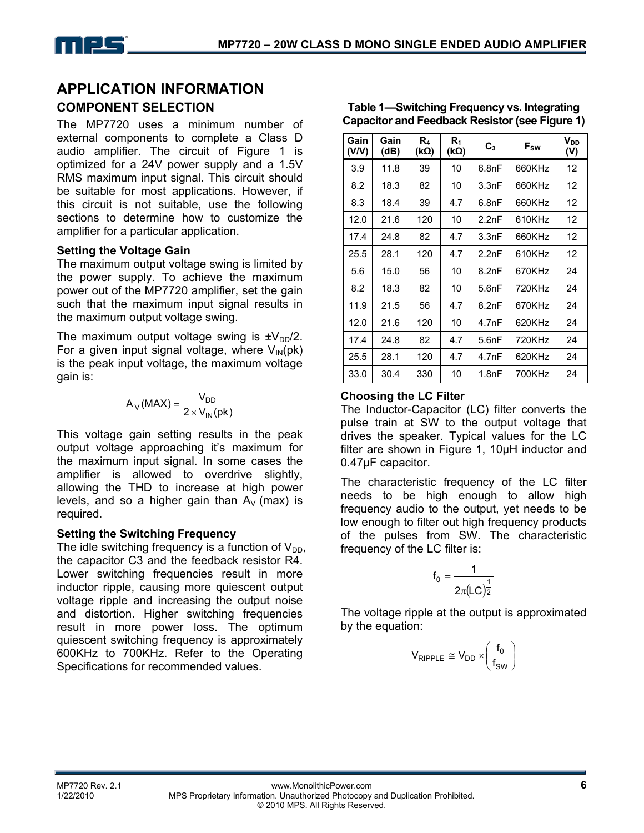## **APPLICATION INFORMATION COMPONENT SELECTION**

The MP7720 uses a minimum number of external components to complete a Class D audio amplifier. The circuit of Figure 1 is optimized for a 24V power supply and a 1.5V RMS maximum input signal. This circuit should be suitable for most applications. However, if this circuit is not suitable, use the following sections to determine how to customize the amplifier for a particular application.

#### **Setting the Voltage Gain**

The maximum output voltage swing is limited by the power supply. To achieve the maximum power out of the MP7720 amplifier, set the gain such that the maximum input signal results in the maximum output voltage swing.

The maximum output voltage swing is  $\pm V_{DD}/2$ . For a given input signal voltage, where  $V_{IN}(pk)$ is the peak input voltage, the maximum voltage gain is:

$$
A_V(MAX) = \frac{V_{DD}}{2 \times V_{IN}(pk)}
$$

This voltage gain setting results in the peak output voltage approaching it's maximum for the maximum input signal. In some cases the amplifier is allowed to overdrive slightly, allowing the THD to increase at high power levels, and so a higher gain than  $A_V$  (max) is required.

## **Setting the Switching Frequency**

The idle switching frequency is a function of  $V_{DD}$ , the capacitor C3 and the feedback resistor R4. Lower switching frequencies result in more inductor ripple, causing more quiescent output voltage ripple and increasing the output noise and distortion. Higher switching frequencies result in more power loss. The optimum quiescent switching frequency is approximately 600KHz to 700KHz. Refer to the Operating Specifications for recommended values.

| Gain<br>(V/V) | Gain<br>(dB) | R4<br>$(k\Omega)$ | R1<br>$(k\Omega)$ | $C_3$ | F <sub>sw</sub> | <b>V</b> <sub>DD</sub><br>(V) |
|---------------|--------------|-------------------|-------------------|-------|-----------------|-------------------------------|
| 3.9           | 11.8         | 39                | 10                | 6.8nF | 660KHz          | 12                            |
| 8.2           | 18.3         | 82                | 10                | 3.3nF | 660KHz          | 12                            |
| 8.3           | 18.4         | 39                | 4.7               | 6.8nF | 660KHz          | 12                            |
| 12.0          | 21.6         | 120               | 10                | 2.2nF | 610KHz          | 12                            |
| 17.4          | 24.8         | 82                | 4.7               | 3.3nF | 660KHz          | 12                            |
| 25.5          | 28.1         | 120               | 4.7               | 2.2nF | 610KHz          | 12                            |
| 5.6           | 15.0         | 56                | 10                | 8.2nF | 670KHz          | 24                            |
| 8.2           | 18.3         | 82                | 10                | 5.6nF | 720KHz          | 24                            |
| 11.9          | 21.5         | 56                | 4.7               | 8.2nF | 670KHz          | 24                            |
| 12.0          | 21.6         | 120               | 10                | 4.7nF | 620KHz          | 24                            |
| 17.4          | 24.8         | 82                | 4.7               | 5.6nF | 720KHz          | 24                            |
| 25.5          | 28.1         | 120               | 4.7               | 4.7nF | 620KHz          | 24                            |
| 33.0          | 30.4         | 330               | 10                | 1.8nF | 700KHz          | 24                            |

#### **Table 1—Switching Frequency vs. Integrating Capacitor and Feedback Resistor (see Figure 1)**

## **Choosing the LC Filter**

The Inductor-Capacitor (LC) filter converts the pulse train at SW to the output voltage that drives the speaker. Typical values for the LC filter are shown in Figure 1, 10µH inductor and 0.47µF capacitor.

The characteristic frequency of the LC filter needs to be high enough to allow high frequency audio to the output, yet needs to be low enough to filter out high frequency products of the pulses from SW. The characteristic frequency of the LC filter is:

$$
f_0=\frac{1}{2\pi (LC)^{\frac{1}{2}}}
$$

The voltage ripple at the output is approximated by the equation:

$$
V_{\text{RIPPLE}} \cong V_{DD} \times \left(\frac{f_0}{f_{SW}}\right)
$$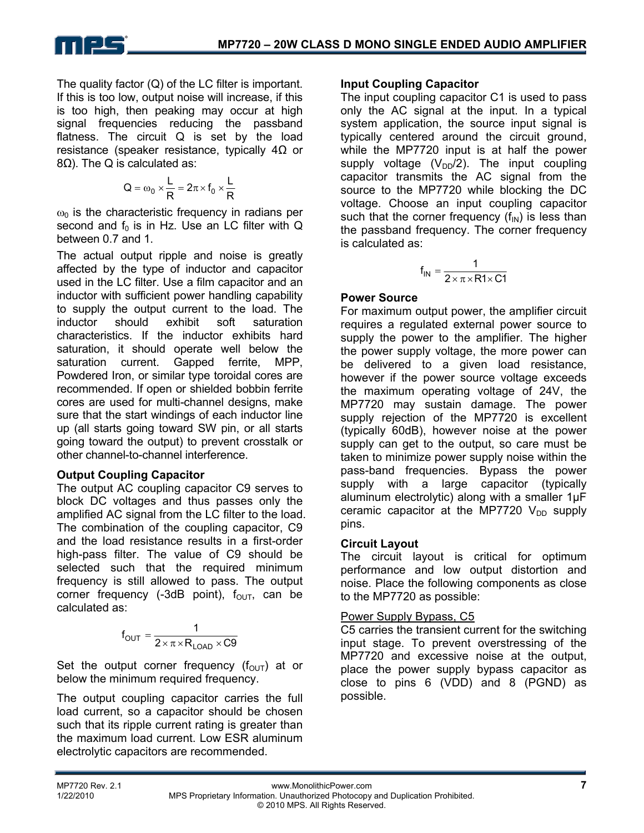

The quality factor (Q) of the LC filter is important. If this is too low, output noise will increase, if this is too high, then peaking may occur at high signal frequencies reducing the passband flatness. The circuit Q is set by the load resistance (speaker resistance, typically  $4\Omega$  or 8Ω). The Q is calculated as:

$$
Q = \omega_0 \times \frac{L}{R} = 2\pi \times f_0 \times \frac{L}{R}
$$

 $\omega_0$  is the characteristic frequency in radians per second and  $f_0$  is in Hz. Use an LC filter with Q between 0.7 and 1.

The actual output ripple and noise is greatly affected by the type of inductor and capacitor used in the LC filter. Use a film capacitor and an inductor with sufficient power handling capability to supply the output current to the load. The inductor should exhibit soft saturation characteristics. If the inductor exhibits hard saturation, it should operate well below the saturation current. Gapped ferrite, MPP, Powdered Iron, or similar type toroidal cores are recommended. If open or shielded bobbin ferrite cores are used for multi-channel designs, make sure that the start windings of each inductor line up (all starts going toward SW pin, or all starts going toward the output) to prevent crosstalk or other channel-to-channel interference.

#### **Output Coupling Capacitor**

The output AC coupling capacitor C9 serves to block DC voltages and thus passes only the amplified AC signal from the LC filter to the load. The combination of the coupling capacitor, C9 and the load resistance results in a first-order high-pass filter. The value of C9 should be selected such that the required minimum frequency is still allowed to pass. The output corner frequency (-3dB point),  $f_{\text{OUT}}$ , can be calculated as:

$$
f_{OUT} = \frac{1}{2 \times \pi \times R_{LOAD} \times C9}
$$

Set the output corner frequency  $(f_{OUT})$  at or below the minimum required frequency.

The output coupling capacitor carries the full load current, so a capacitor should be chosen such that its ripple current rating is greater than the maximum load current. Low ESR aluminum electrolytic capacitors are recommended.

#### **Input Coupling Capacitor**

The input coupling capacitor C1 is used to pass only the AC signal at the input. In a typical system application, the source input signal is typically centered around the circuit ground, while the MP7720 input is at half the power supply voltage  $(V_{DD}/2)$ . The input coupling capacitor transmits the AC signal from the source to the MP7720 while blocking the DC voltage. Choose an input coupling capacitor such that the corner frequency  $(f_{IN})$  is less than the passband frequency. The corner frequency is calculated as:

$$
f_{IN}=\frac{1}{2\times\pi\times R1\times C1}
$$

#### **Power Source**

For maximum output power, the amplifier circuit requires a regulated external power source to supply the power to the amplifier. The higher the power supply voltage, the more power can be delivered to a given load resistance, however if the power source voltage exceeds the maximum operating voltage of 24V, the MP7720 may sustain damage. The power supply rejection of the MP7720 is excellent (typically 60dB), however noise at the power supply can get to the output, so care must be taken to minimize power supply noise within the pass-band frequencies. Bypass the power supply with a large capacitor (typically aluminum electrolytic) along with a smaller 1µF ceramic capacitor at the MP7720  $V_{DD}$  supply pins.

#### **Circuit Layout**

The circuit layout is critical for optimum performance and low output distortion and noise. Place the following components as close to the MP7720 as possible:

#### Power Supply Bypass, C5

C5 carries the transient current for the switching input stage. To prevent overstressing of the MP7720 and excessive noise at the output, place the power supply bypass capacitor as close to pins 6 (VDD) and 8 (PGND) as possible.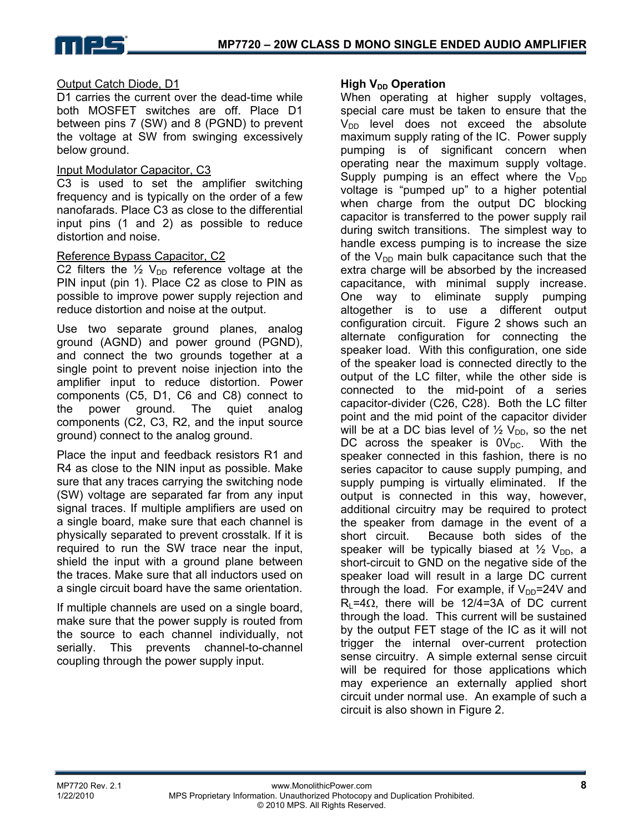

## Output Catch Diode, D1

D1 carries the current over the dead-time while both MOSFET switches are off. Place D1 between pins 7 (SW) and 8 (PGND) to prevent the voltage at SW from swinging excessively below ground.

#### Input Modulator Capacitor, C3

C3 is used to set the amplifier switching frequency and is typically on the order of a few nanofarads. Place C3 as close to the differential input pins (1 and 2) as possible to reduce distortion and noise.

#### Reference Bypass Capacitor, C2

C2 filters the  $\frac{1}{2}$  V<sub>DD</sub> reference voltage at the PIN input (pin 1). Place C2 as close to PIN as possible to improve power supply rejection and reduce distortion and noise at the output.

Use two separate ground planes, analog ground (AGND) and power ground (PGND), and connect the two grounds together at a single point to prevent noise injection into the amplifier input to reduce distortion. Power components (C5, D1, C6 and C8) connect to the power ground. The quiet analog components (C2, C3, R2, and the input source ground) connect to the analog ground.

Place the input and feedback resistors R1 and R4 as close to the NIN input as possible. Make sure that any traces carrying the switching node (SW) voltage are separated far from any input signal traces. If multiple amplifiers are used on a single board, make sure that each channel is physically separated to prevent crosstalk. If it is required to run the SW trace near the input, shield the input with a ground plane between the traces. Make sure that all inductors used on a single circuit board have the same orientation.

If multiple channels are used on a single board, make sure that the power supply is routed from the source to each channel individually, not serially. This prevents channel-to-channel coupling through the power supply input.

#### **High V<sub>DD</sub> Operation**

When operating at higher supply voltages, special care must be taken to ensure that the  $V<sub>DD</sub>$  level does not exceed the absolute maximum supply rating of the IC. Power supply pumping is of significant concern when operating near the maximum supply voltage. Supply pumping is an effect where the  $V_{DD}$ voltage is "pumped up" to a higher potential when charge from the output DC blocking capacitor is transferred to the power supply rail during switch transitions. The simplest way to handle excess pumping is to increase the size of the  $V_{DD}$  main bulk capacitance such that the extra charge will be absorbed by the increased capacitance, with minimal supply increase. One way to eliminate supply pumping altogether is to use a different output configuration circuit. Figure 2 shows such an alternate configuration for connecting the speaker load. With this configuration, one side of the speaker load is connected directly to the output of the LC filter, while the other side is connected to the mid-point of a series capacitor-divider (C26, C28). Both the LC filter point and the mid point of the capacitor divider will be at a DC bias level of  $\frac{1}{2}$  V<sub>DD</sub>, so the net DC across the speaker is  $0V_{DC}$ . With the speaker connected in this fashion, there is no series capacitor to cause supply pumping, and supply pumping is virtually eliminated. If the output is connected in this way, however, additional circuitry may be required to protect the speaker from damage in the event of a short circuit. Because both sides of the speaker will be typically biased at  $\frac{1}{2}$  V<sub>DD</sub>, a short-circuit to GND on the negative side of the speaker load will result in a large DC current through the load. For example, if  $V_{DD}$ =24V and  $R<sub>1</sub>=4Ω$ , there will be 12/4=3A of DC current through the load. This current will be sustained by the output FET stage of the IC as it will not trigger the internal over-current protection sense circuitry. A simple external sense circuit will be required for those applications which may experience an externally applied short circuit under normal use. An example of such a circuit is also shown in Figure 2.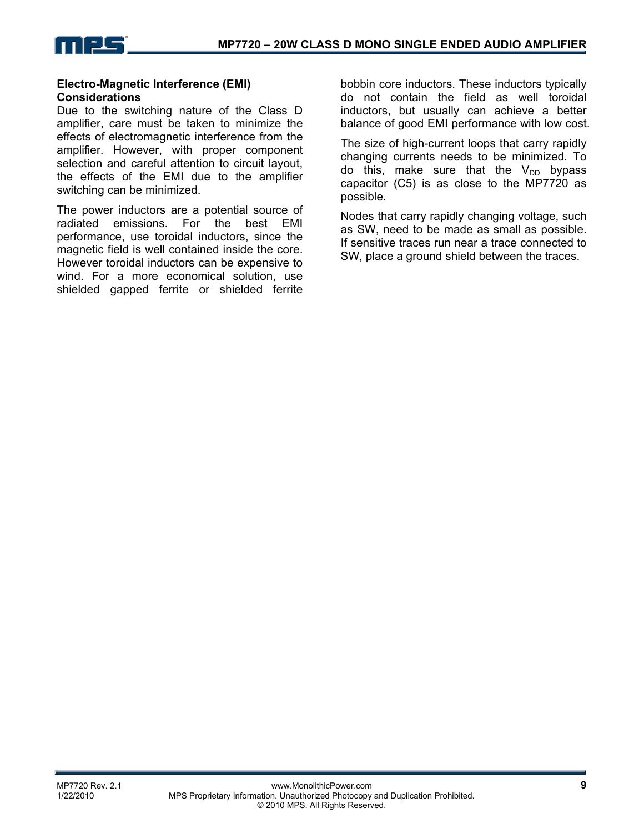

#### **Electro-Magnetic Interference (EMI) Considerations**

Due to the switching nature of the Class D amplifier, care must be taken to minimize the effects of electromagnetic interference from the amplifier. However, with proper component selection and careful attention to circuit layout, the effects of the EMI due to the amplifier switching can be minimized.

The power inductors are a potential source of radiated emissions. For the best EMI performance, use toroidal inductors, since the magnetic field is well contained inside the core. However toroidal inductors can be expensive to wind. For a more economical solution, use shielded gapped ferrite or shielded ferrite

bobbin core inductors. These inductors typically do not contain the field as well toroidal inductors, but usually can achieve a better balance of good EMI performance with low cost.

The size of high-current loops that carry rapidly changing currents needs to be minimized. To do this, make sure that the  $V_{DD}$  bypass capacitor (C5) is as close to the MP7720 as possible.

Nodes that carry rapidly changing voltage, such as SW, need to be made as small as possible. If sensitive traces run near a trace connected to SW, place a ground shield between the traces.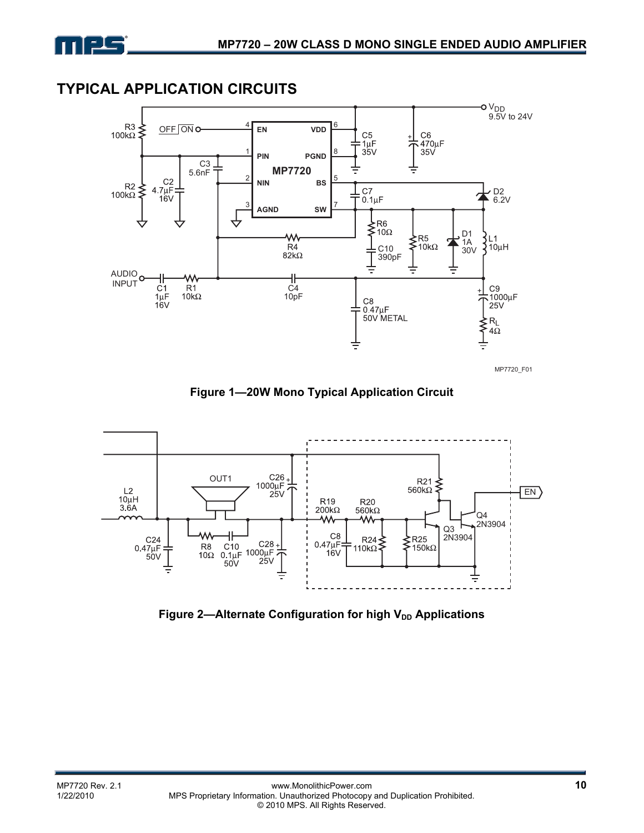# **TYPICAL APPLICATION CIRCUITS**



**Figure 1—20W Mono Typical Application Circuit** 



Figure 2-Alternate Configuration for high V<sub>DD</sub> Applications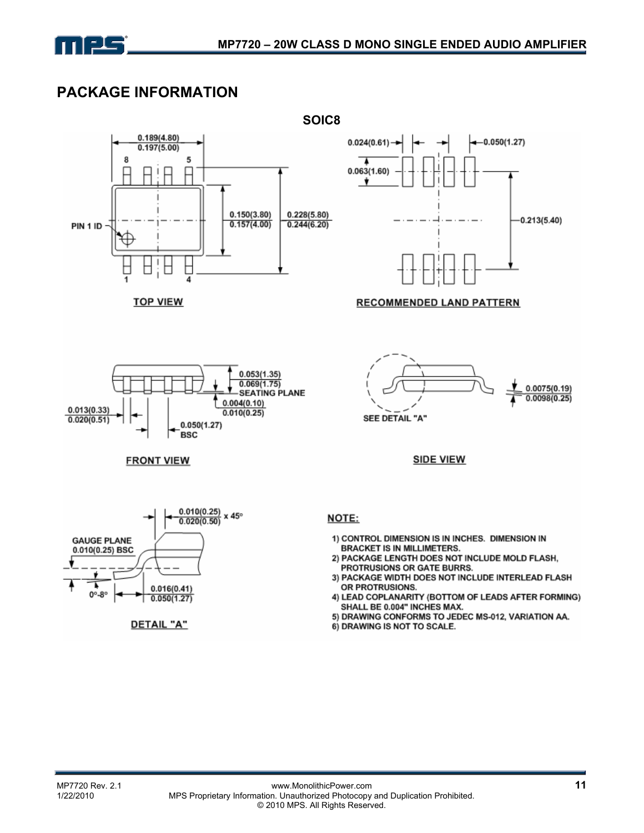

# **PACKAGE INFORMATION**